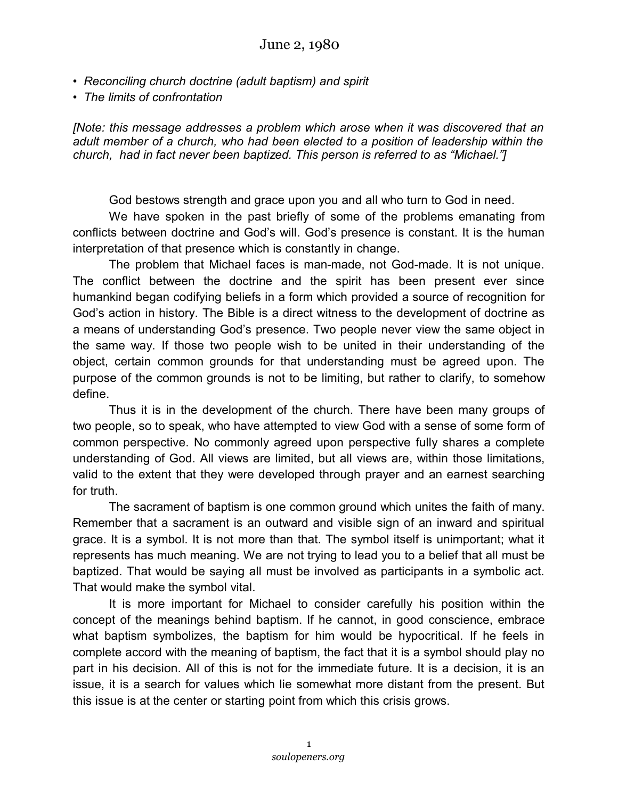- *Reconciling church doctrine (adult baptism) and spirit*
- *The limits of confrontation*

*[Note: this message addresses a problem which arose when it was discovered that an adult member of a church, who had been elected to a position of leadership within the church, had in fact never been baptized. This person is referred to as "Michael."]*

God bestows strength and grace upon you and all who turn to God in need.

We have spoken in the past briefly of some of the problems emanating from conflicts between doctrine and God's will. God's presence is constant. It is the human interpretation of that presence which is constantly in change.

The problem that Michael faces is man-made, not God-made. It is not unique. The conflict between the doctrine and the spirit has been present ever since humankind began codifying beliefs in a form which provided a source of recognition for God's action in history. The Bible is a direct witness to the development of doctrine as a means of understanding God's presence. Two people never view the same object in the same way. If those two people wish to be united in their understanding of the object, certain common grounds for that understanding must be agreed upon. The purpose of the common grounds is not to be limiting, but rather to clarify, to somehow define.

Thus it is in the development of the church. There have been many groups of two people, so to speak, who have attempted to view God with a sense of some form of common perspective. No commonly agreed upon perspective fully shares a complete understanding of God. All views are limited, but all views are, within those limitations, valid to the extent that they were developed through prayer and an earnest searching for truth.

The sacrament of baptism is one common ground which unites the faith of many. Remember that a sacrament is an outward and visible sign of an inward and spiritual grace. It is a symbol. It is not more than that. The symbol itself is unimportant; what it represents has much meaning. We are not trying to lead you to a belief that all must be baptized. That would be saying all must be involved as participants in a symbolic act. That would make the symbol vital.

It is more important for Michael to consider carefully his position within the concept of the meanings behind baptism. If he cannot, in good conscience, embrace what baptism symbolizes, the baptism for him would be hypocritical. If he feels in complete accord with the meaning of baptism, the fact that it is a symbol should play no part in his decision. All of this is not for the immediate future. It is a decision, it is an issue, it is a search for values which lie somewhat more distant from the present. But this issue is at the center or starting point from which this crisis grows.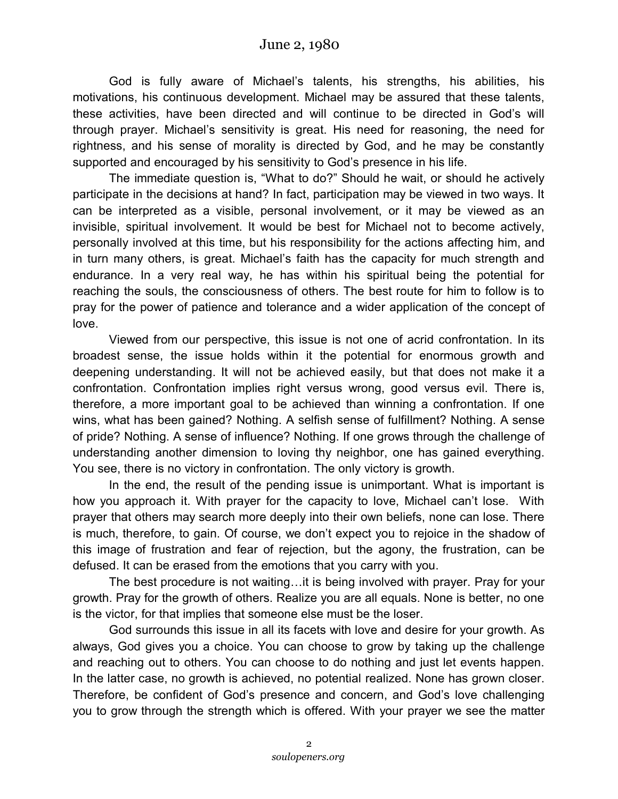God is fully aware of Michael's talents, his strengths, his abilities, his motivations, his continuous development. Michael may be assured that these talents, these activities, have been directed and will continue to be directed in God's will through prayer. Michael's sensitivity is great. His need for reasoning, the need for rightness, and his sense of morality is directed by God, and he may be constantly supported and encouraged by his sensitivity to God's presence in his life.

The immediate question is, "What to do?" Should he wait, or should he actively participate in the decisions at hand? In fact, participation may be viewed in two ways. It can be interpreted as a visible, personal involvement, or it may be viewed as an invisible, spiritual involvement. It would be best for Michael not to become actively, personally involved at this time, but his responsibility for the actions affecting him, and in turn many others, is great. Michael's faith has the capacity for much strength and endurance. In a very real way, he has within his spiritual being the potential for reaching the souls, the consciousness of others. The best route for him to follow is to pray for the power of patience and tolerance and a wider application of the concept of love.

Viewed from our perspective, this issue is not one of acrid confrontation. In its broadest sense, the issue holds within it the potential for enormous growth and deepening understanding. It will not be achieved easily, but that does not make it a confrontation. Confrontation implies right versus wrong, good versus evil. There is, therefore, a more important goal to be achieved than winning a confrontation. If one wins, what has been gained? Nothing. A selfish sense of fulfillment? Nothing. A sense of pride? Nothing. A sense of influence? Nothing. If one grows through the challenge of understanding another dimension to loving thy neighbor, one has gained everything. You see, there is no victory in confrontation. The only victory is growth.

In the end, the result of the pending issue is unimportant. What is important is how you approach it. With prayer for the capacity to love, Michael can't lose. With prayer that others may search more deeply into their own beliefs, none can lose. There is much, therefore, to gain. Of course, we don't expect you to rejoice in the shadow of this image of frustration and fear of rejection, but the agony, the frustration, can be defused. It can be erased from the emotions that you carry with you.

The best procedure is not waiting…it is being involved with prayer. Pray for your growth. Pray for the growth of others. Realize you are all equals. None is better, no one is the victor, for that implies that someone else must be the loser.

God surrounds this issue in all its facets with love and desire for your growth. As always, God gives you a choice. You can choose to grow by taking up the challenge and reaching out to others. You can choose to do nothing and just let events happen. In the latter case, no growth is achieved, no potential realized. None has grown closer. Therefore, be confident of God's presence and concern, and God's love challenging you to grow through the strength which is offered. With your prayer we see the matter